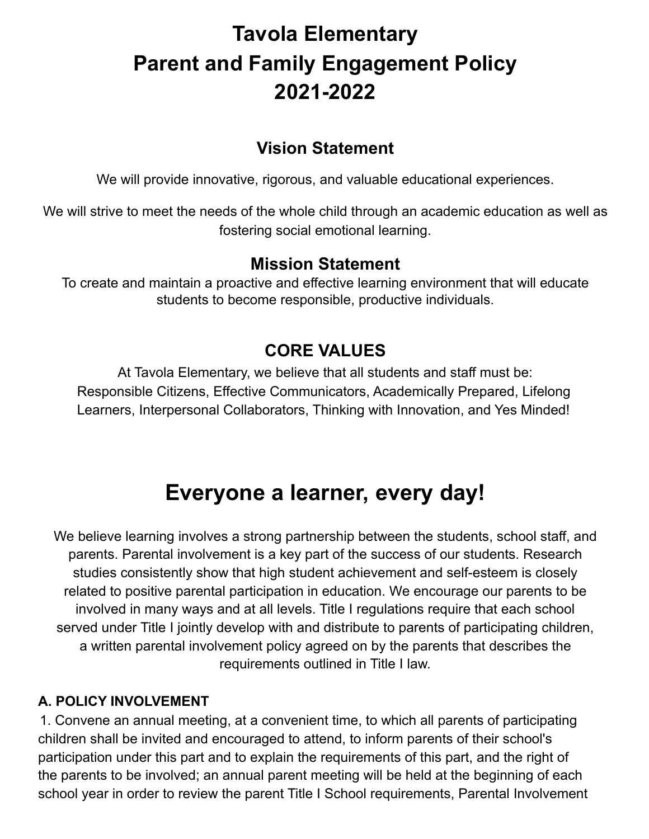# **Tavola Elementary Parent and Family Engagement Policy 2021-2022**

# **Vision Statement**

We will provide innovative, rigorous, and valuable educational experiences.

We will strive to meet the needs of the whole child through an academic education as well as fostering social emotional learning.

# **Mission Statement**

To create and maintain a proactive and effective learning environment that will educate students to become responsible, productive individuals.

# **CORE VALUES**

At Tavola Elementary, we believe that all students and staff must be: Responsible Citizens, Effective Communicators, Academically Prepared, Lifelong Learners, Interpersonal Collaborators, Thinking with Innovation, and Yes Minded!

# **Everyone a learner, every day!**

We believe learning involves a strong partnership between the students, school staff, and parents. Parental involvement is a key part of the success of our students. Research studies consistently show that high student achievement and self-esteem is closely related to positive parental participation in education. We encourage our parents to be involved in many ways and at all levels. Title I regulations require that each school served under Title I jointly develop with and distribute to parents of participating children, a written parental involvement policy agreed on by the parents that describes the requirements outlined in Title I law.

#### **A. POLICY INVOLVEMENT**

1. Convene an annual meeting, at a convenient time, to which all parents of participating children shall be invited and encouraged to attend, to inform parents of their school's participation under this part and to explain the requirements of this part, and the right of the parents to be involved; an annual parent meeting will be held at the beginning of each school year in order to review the parent Title I School requirements, Parental Involvement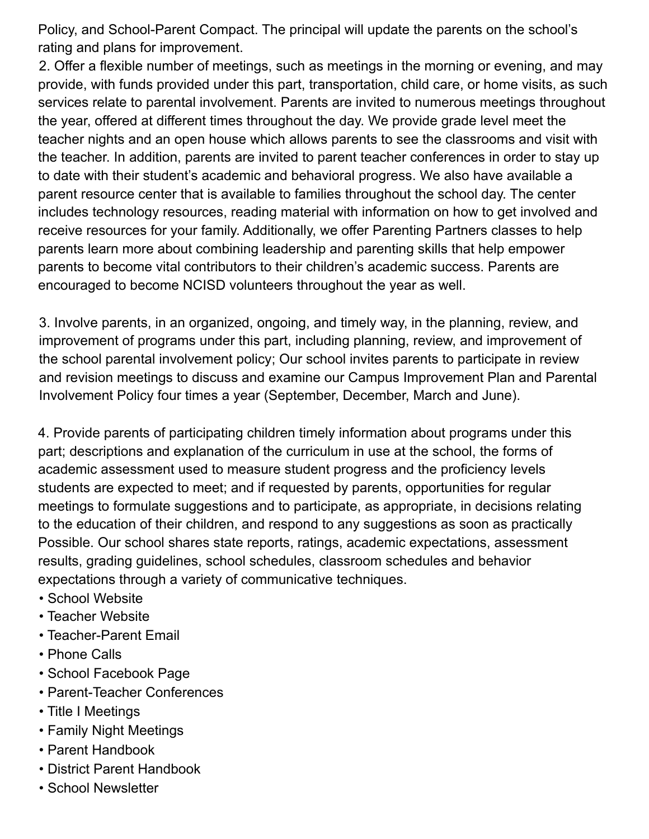Policy, and School-Parent Compact. The principal will update the parents on the school's rating and plans for improvement.

2. Offer a flexible number of meetings, such as meetings in the morning or evening, and may provide, with funds provided under this part, transportation, child care, or home visits, as such services relate to parental involvement. Parents are invited to numerous meetings throughout the year, offered at different times throughout the day. We provide grade level meet the teacher nights and an open house which allows parents to see the classrooms and visit with the teacher. In addition, parents are invited to parent teacher conferences in order to stay up to date with their student's academic and behavioral progress. We also have available a parent resource center that is available to families throughout the school day. The center includes technology resources, reading material with information on how to get involved and receive resources for your family. Additionally, we offer Parenting Partners classes to help parents learn more about combining leadership and parenting skills that help empower parents to become vital contributors to their children's academic success. Parents are encouraged to become NCISD volunteers throughout the year as well.

3. Involve parents, in an organized, ongoing, and timely way, in the planning, review, and improvement of programs under this part, including planning, review, and improvement of the school parental involvement policy; Our school invites parents to participate in review and revision meetings to discuss and examine our Campus Improvement Plan and Parental Involvement Policy four times a year (September, December, March and June).

4. Provide parents of participating children timely information about programs under this part; descriptions and explanation of the curriculum in use at the school, the forms of academic assessment used to measure student progress and the proficiency levels students are expected to meet; and if requested by parents, opportunities for regular meetings to formulate suggestions and to participate, as appropriate, in decisions relating to the education of their children, and respond to any suggestions as soon as practically Possible. Our school shares state reports, ratings, academic expectations, assessment results, grading guidelines, school schedules, classroom schedules and behavior expectations through a variety of communicative techniques.

- School Website
- Teacher Website
- Teacher-Parent Email
- Phone Calls
- School Facebook Page
- Parent-Teacher Conferences
- Title I Meetings
- Family Night Meetings
- Parent Handbook
- District Parent Handbook
- School Newsletter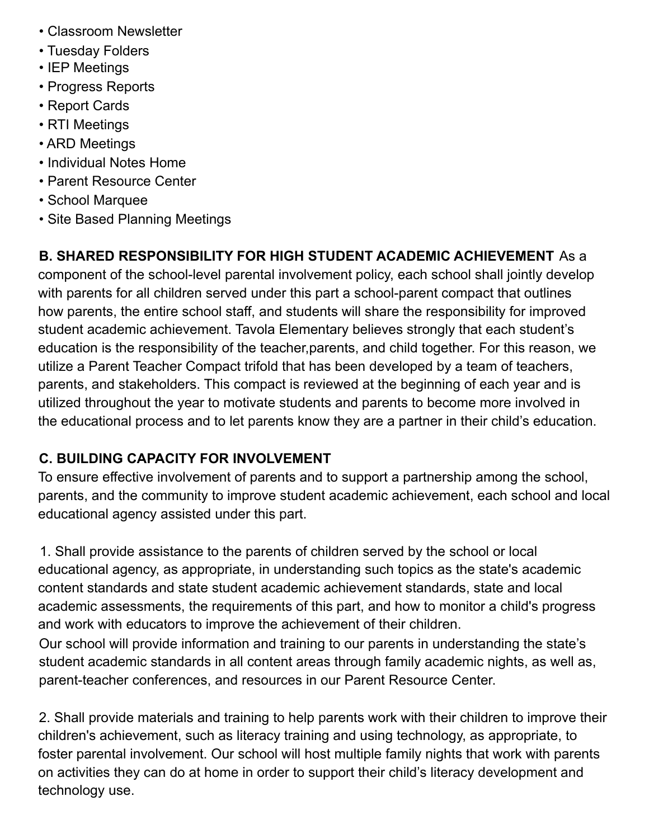- Classroom Newsletter
- Tuesday Folders
- IEP Meetings
- Progress Reports
- Report Cards
- RTI Meetings
- ARD Meetings
- Individual Notes Home
- Parent Resource Center
- School Marquee
- Site Based Planning Meetings

# **B. SHARED RESPONSIBILITY FOR HIGH STUDENT ACADEMIC ACHIEVEMENT** As a

component of the school-level parental involvement policy, each school shall jointly develop with parents for all children served under this part a school-parent compact that outlines how parents, the entire school staff, and students will share the responsibility for improved student academic achievement. Tavola Elementary believes strongly that each student's education is the responsibility of the teacher,parents, and child together. For this reason, we utilize a Parent Teacher Compact trifold that has been developed by a team of teachers, parents, and stakeholders. This compact is reviewed at the beginning of each year and is utilized throughout the year to motivate students and parents to become more involved in the educational process and to let parents know they are a partner in their child's education.

#### **C. BUILDING CAPACITY FOR INVOLVEMENT**

To ensure effective involvement of parents and to support a partnership among the school, parents, and the community to improve student academic achievement, each school and local educational agency assisted under this part.

1. Shall provide assistance to the parents of children served by the school or local educational agency, as appropriate, in understanding such topics as the state's academic content standards and state student academic achievement standards, state and local academic assessments, the requirements of this part, and how to monitor a child's progress and work with educators to improve the achievement of their children.

Our school will provide information and training to our parents in understanding the state's student academic standards in all content areas through family academic nights, as well as, parent-teacher conferences, and resources in our Parent Resource Center.

2. Shall provide materials and training to help parents work with their children to improve their children's achievement, such as literacy training and using technology, as appropriate, to foster parental involvement. Our school will host multiple family nights that work with parents on activities they can do at home in order to support their child's literacy development and technology use.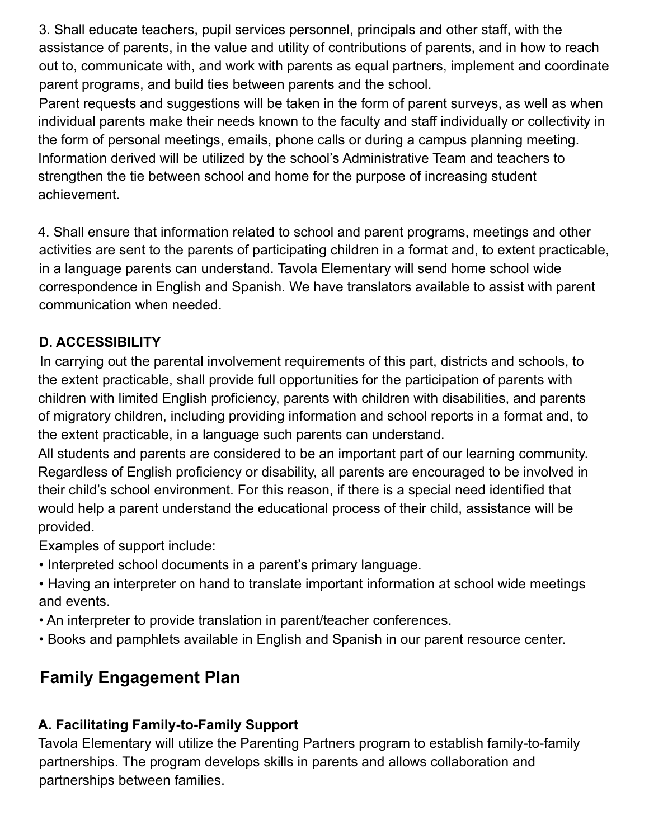3. Shall educate teachers, pupil services personnel, principals and other staff, with the assistance of parents, in the value and utility of contributions of parents, and in how to reach out to, communicate with, and work with parents as equal partners, implement and coordinate parent programs, and build ties between parents and the school.

Parent requests and suggestions will be taken in the form of parent surveys, as well as when individual parents make their needs known to the faculty and staff individually or collectivity in the form of personal meetings, emails, phone calls or during a campus planning meeting. Information derived will be utilized by the school's Administrative Team and teachers to strengthen the tie between school and home for the purpose of increasing student achievement.

4. Shall ensure that information related to school and parent programs, meetings and other activities are sent to the parents of participating children in a format and, to extent practicable, in a language parents can understand. Tavola Elementary will send home school wide correspondence in English and Spanish. We have translators available to assist with parent communication when needed.

## **D. ACCESSIBILITY**

In carrying out the parental involvement requirements of this part, districts and schools, to the extent practicable, shall provide full opportunities for the participation of parents with children with limited English proficiency, parents with children with disabilities, and parents of migratory children, including providing information and school reports in a format and, to the extent practicable, in a language such parents can understand.

All students and parents are considered to be an important part of our learning community. Regardless of English proficiency or disability, all parents are encouraged to be involved in their child's school environment. For this reason, if there is a special need identified that would help a parent understand the educational process of their child, assistance will be provided.

Examples of support include:

- Interpreted school documents in a parent's primary language.
- Having an interpreter on hand to translate important information at school wide meetings and events.
- An interpreter to provide translation in parent/teacher conferences.
- Books and pamphlets available in English and Spanish in our parent resource center.

# **Family Engagement Plan**

## **A. Facilitating Family-to-Family Support**

Tavola Elementary will utilize the Parenting Partners program to establish family-to-family partnerships. The program develops skills in parents and allows collaboration and partnerships between families.